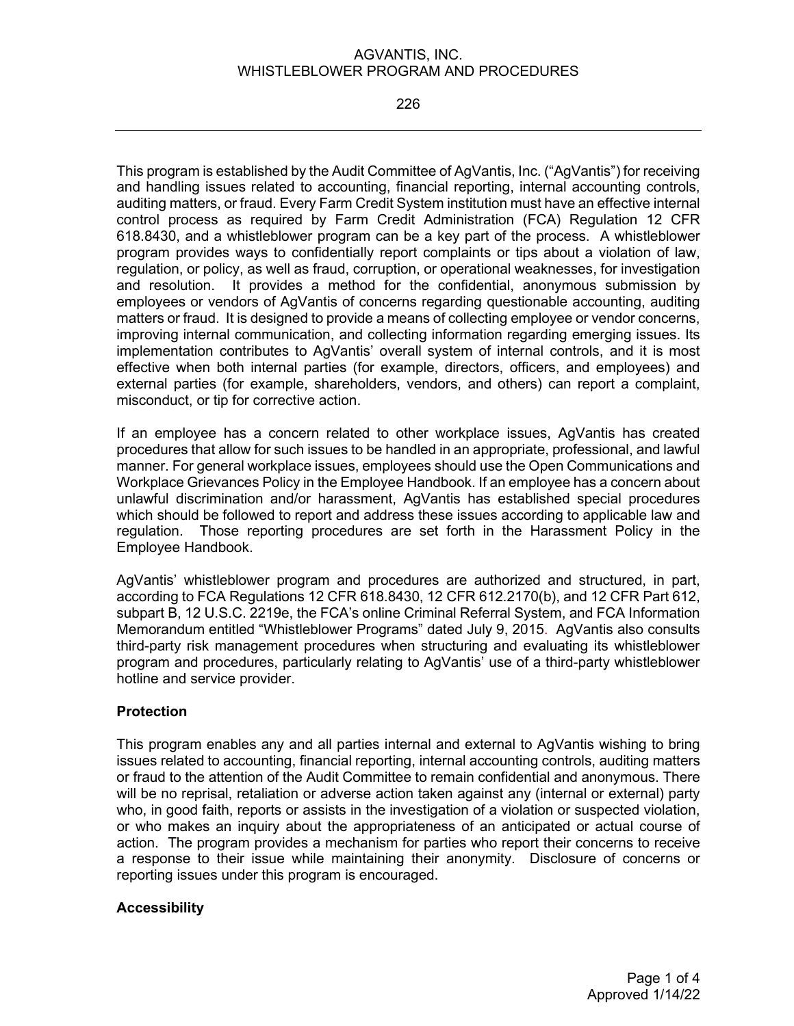#### AGVANTIS, INC. WHISTLEBLOWER PROGRAM AND PROCEDURES

226

This program is established by the Audit Committee of AgVantis, Inc. ("AgVantis") for receiving and handling issues related to accounting, financial reporting, internal accounting controls, auditing matters, or fraud. Every Farm Credit System institution must have an effective internal control process as required by Farm Credit Administration (FCA) Regulation 12 CFR 618.8430, and a whistleblower program can be a key part of the process. A whistleblower program provides ways to confidentially report complaints or tips about a violation of law, regulation, or policy, as well as fraud, corruption, or operational weaknesses, for investigation and resolution. It provides a method for the confidential, anonymous submission by employees or vendors of AgVantis of concerns regarding questionable accounting, auditing matters or fraud. It is designed to provide a means of collecting employee or vendor concerns, improving internal communication, and collecting information regarding emerging issues. Its implementation contributes to AgVantis' overall system of internal controls, and it is most effective when both internal parties (for example, directors, officers, and employees) and external parties (for example, shareholders, vendors, and others) can report a complaint, misconduct, or tip for corrective action.

If an employee has a concern related to other workplace issues, AgVantis has created procedures that allow for such issues to be handled in an appropriate, professional, and lawful manner. For general workplace issues, employees should use the Open Communications and Workplace Grievances Policy in the Employee Handbook. If an employee has a concern about unlawful discrimination and/or harassment, AgVantis has established special procedures which should be followed to report and address these issues according to applicable law and regulation. Those reporting procedures are set forth in the Harassment Policy in the Employee Handbook.

AgVantis' whistleblower program and procedures are authorized and structured, in part, according to FCA Regulations 12 CFR 618.8430, 12 CFR 612.2170(b), and 12 CFR Part 612, subpart B, 12 U.S.C. 2219e, the FCA's online Criminal Referral System, and FCA Information Memorandum entitled "Whistleblower Programs" dated July 9, 2015. AgVantis also consults third-party risk management procedures when structuring and evaluating its whistleblower program and procedures, particularly relating to AgVantis' use of a third-party whistleblower hotline and service provider.

## **Protection**

This program enables any and all parties internal and external to AgVantis wishing to bring issues related to accounting, financial reporting, internal accounting controls, auditing matters or fraud to the attention of the Audit Committee to remain confidential and anonymous. There will be no reprisal, retaliation or adverse action taken against any (internal or external) party who, in good faith, reports or assists in the investigation of a violation or suspected violation, or who makes an inquiry about the appropriateness of an anticipated or actual course of action. The program provides a mechanism for parties who report their concerns to receive a response to their issue while maintaining their anonymity. Disclosure of concerns or reporting issues under this program is encouraged.

## **Accessibility**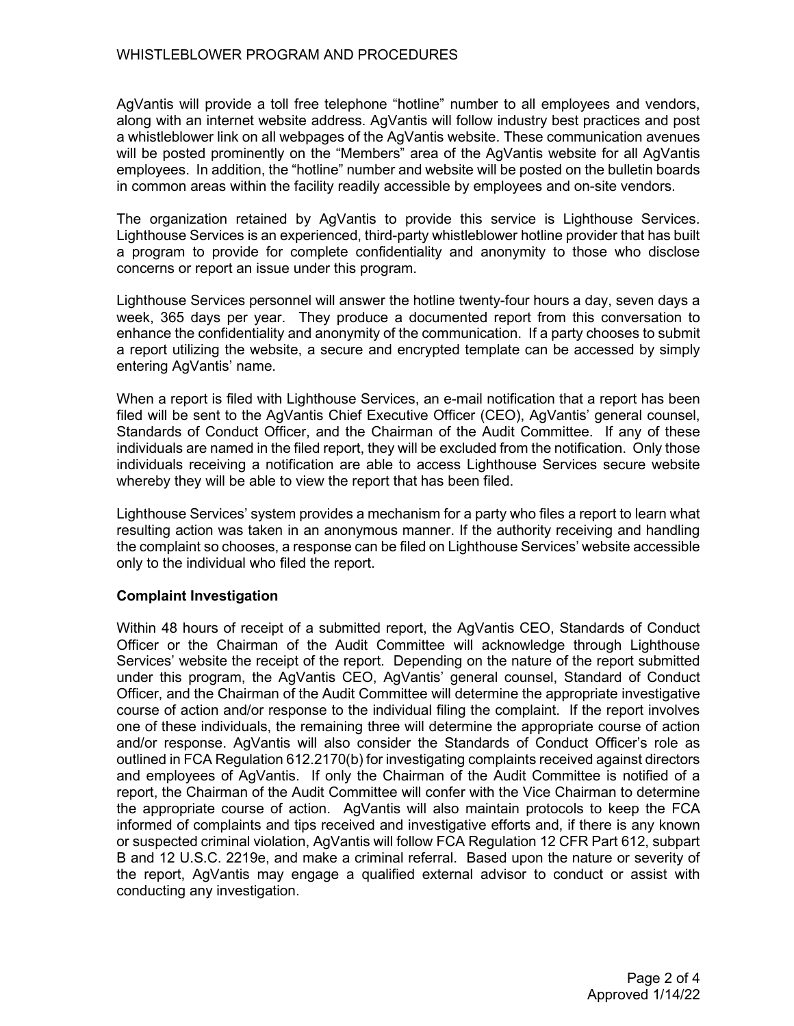AgVantis will provide a toll free telephone "hotline" number to all employees and vendors, along with an internet website address. AgVantis will follow industry best practices and post a whistleblower link on all webpages of the AgVantis website. These communication avenues will be posted prominently on the "Members" area of the AgVantis website for all AgVantis employees. In addition, the "hotline" number and website will be posted on the bulletin boards in common areas within the facility readily accessible by employees and on-site vendors.

The organization retained by AgVantis to provide this service is Lighthouse Services. Lighthouse Services is an experienced, third-party whistleblower hotline provider that has built a program to provide for complete confidentiality and anonymity to those who disclose concerns or report an issue under this program.

Lighthouse Services personnel will answer the hotline twenty-four hours a day, seven days a week, 365 days per year. They produce a documented report from this conversation to enhance the confidentiality and anonymity of the communication. If a party chooses to submit a report utilizing the website, a secure and encrypted template can be accessed by simply entering AgVantis' name.

When a report is filed with Lighthouse Services, an e-mail notification that a report has been filed will be sent to the AgVantis Chief Executive Officer (CEO), AgVantis' general counsel, Standards of Conduct Officer, and the Chairman of the Audit Committee. If any of these individuals are named in the filed report, they will be excluded from the notification. Only those individuals receiving a notification are able to access Lighthouse Services secure website whereby they will be able to view the report that has been filed.

Lighthouse Services' system provides a mechanism for a party who files a report to learn what resulting action was taken in an anonymous manner. If the authority receiving and handling the complaint so chooses, a response can be filed on Lighthouse Services' website accessible only to the individual who filed the report.

## **Complaint Investigation**

Within 48 hours of receipt of a submitted report, the AgVantis CEO, Standards of Conduct Officer or the Chairman of the Audit Committee will acknowledge through Lighthouse Services' website the receipt of the report. Depending on the nature of the report submitted under this program, the AgVantis CEO, AgVantis' general counsel, Standard of Conduct Officer, and the Chairman of the Audit Committee will determine the appropriate investigative course of action and/or response to the individual filing the complaint. If the report involves one of these individuals, the remaining three will determine the appropriate course of action and/or response. AgVantis will also consider the Standards of Conduct Officer's role as outlined in FCA Regulation 612.2170(b) for investigating complaints received against directors and employees of AgVantis. If only the Chairman of the Audit Committee is notified of a report, the Chairman of the Audit Committee will confer with the Vice Chairman to determine the appropriate course of action. AgVantis will also maintain protocols to keep the FCA informed of complaints and tips received and investigative efforts and, if there is any known or suspected criminal violation, AgVantis will follow FCA Regulation 12 CFR Part 612, subpart B and 12 U.S.C. 2219e, and make a criminal referral. Based upon the nature or severity of the report, AgVantis may engage a qualified external advisor to conduct or assist with conducting any investigation.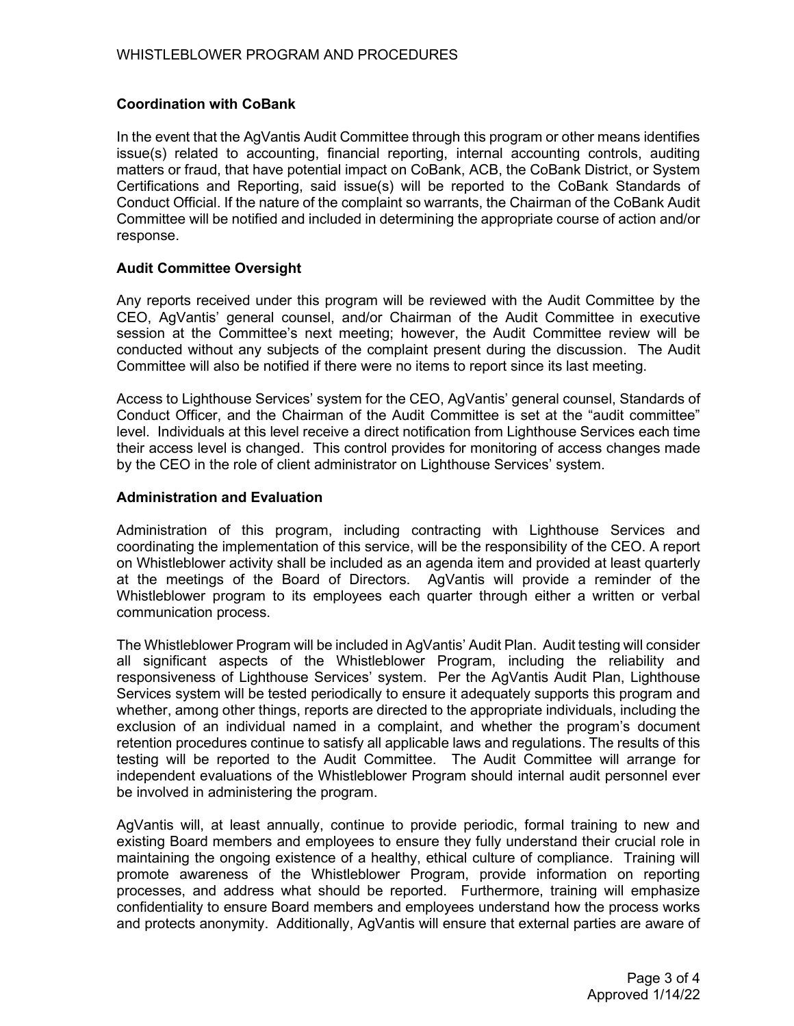# **Coordination with CoBank**

In the event that the AgVantis Audit Committee through this program or other means identifies issue(s) related to accounting, financial reporting, internal accounting controls, auditing matters or fraud, that have potential impact on CoBank, ACB, the CoBank District, or System Certifications and Reporting, said issue(s) will be reported to the CoBank Standards of Conduct Official. If the nature of the complaint so warrants, the Chairman of the CoBank Audit Committee will be notified and included in determining the appropriate course of action and/or response.

## **Audit Committee Oversight**

Any reports received under this program will be reviewed with the Audit Committee by the CEO, AgVantis' general counsel, and/or Chairman of the Audit Committee in executive session at the Committee's next meeting; however, the Audit Committee review will be conducted without any subjects of the complaint present during the discussion. The Audit Committee will also be notified if there were no items to report since its last meeting.

Access to Lighthouse Services' system for the CEO, AgVantis' general counsel, Standards of Conduct Officer, and the Chairman of the Audit Committee is set at the "audit committee" level. Individuals at this level receive a direct notification from Lighthouse Services each time their access level is changed. This control provides for monitoring of access changes made by the CEO in the role of client administrator on Lighthouse Services' system.

#### **Administration and Evaluation**

Administration of this program, including contracting with Lighthouse Services and coordinating the implementation of this service, will be the responsibility of the CEO. A report on Whistleblower activity shall be included as an agenda item and provided at least quarterly at the meetings of the Board of Directors. AgVantis will provide a reminder of the Whistleblower program to its employees each quarter through either a written or verbal communication process.

The Whistleblower Program will be included in AgVantis' Audit Plan. Audit testing will consider all significant aspects of the Whistleblower Program, including the reliability and responsiveness of Lighthouse Services' system. Per the AgVantis Audit Plan, Lighthouse Services system will be tested periodically to ensure it adequately supports this program and whether, among other things, reports are directed to the appropriate individuals, including the exclusion of an individual named in a complaint, and whether the program's document retention procedures continue to satisfy all applicable laws and regulations. The results of this testing will be reported to the Audit Committee. The Audit Committee will arrange for independent evaluations of the Whistleblower Program should internal audit personnel ever be involved in administering the program.

AgVantis will, at least annually, continue to provide periodic, formal training to new and existing Board members and employees to ensure they fully understand their crucial role in maintaining the ongoing existence of a healthy, ethical culture of compliance. Training will promote awareness of the Whistleblower Program, provide information on reporting processes, and address what should be reported. Furthermore, training will emphasize confidentiality to ensure Board members and employees understand how the process works and protects anonymity. Additionally, AgVantis will ensure that external parties are aware of